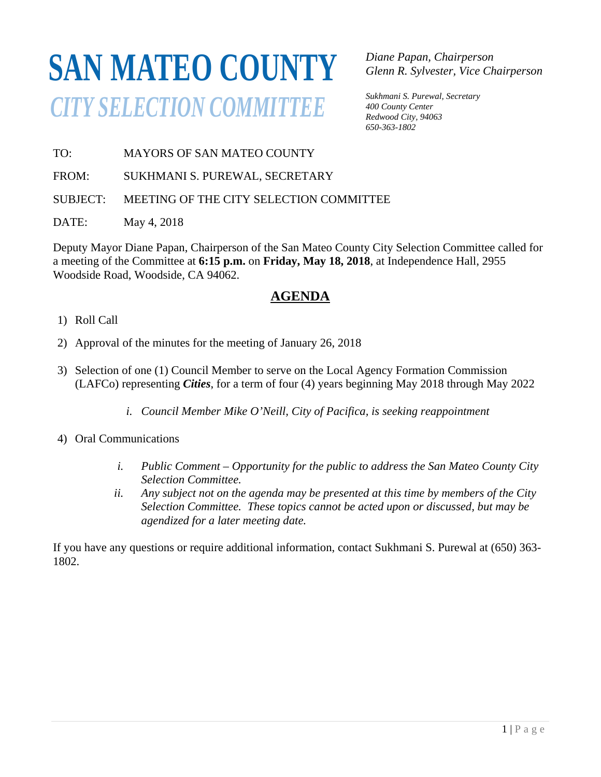# **SAN MATEO COUNTY** *CITY SELECTION COMMITTEE*

*Diane Papan, Chairperson Glenn R. Sylvester, Vice Chairperson* 

*Sukhmani S. Purewal, Secretary 400 County Center Redwood City, 94063 650-363-1802* 

TO: MAYORS OF SAN MATEO COUNTY

FROM: SUKHMANI S. PUREWAL, SECRETARY

SUBJECT: MEETING OF THE CITY SELECTION COMMITTEE

DATE: May 4, 2018

Deputy Mayor Diane Papan, Chairperson of the San Mateo County City Selection Committee called for a meeting of the Committee at **6:15 p.m.** on **Friday, May 18, 2018**, at Independence Hall, 2955 Woodside Road, Woodside, CA 94062.

# **AGENDA**

- 1) Roll Call
- 2) Approval of the minutes for the meeting of January 26, 2018
- 3) Selection of one (1) Council Member to serve on the Local Agency Formation Commission (LAFCo) representing *Cities*, for a term of four (4) years beginning May 2018 through May 2022
	- *i. Council Member Mike O'Neill, City of Pacifica, is seeking reappointment*
- 4) Oral Communications
	- *i. Public Comment Opportunity for the public to address the San Mateo County City Selection Committee.*
	- *ii. Any subject not on the agenda may be presented at this time by members of the City Selection Committee. These topics cannot be acted upon or discussed, but may be agendized for a later meeting date.*

If you have any questions or require additional information, contact Sukhmani S. Purewal at (650) 363- 1802.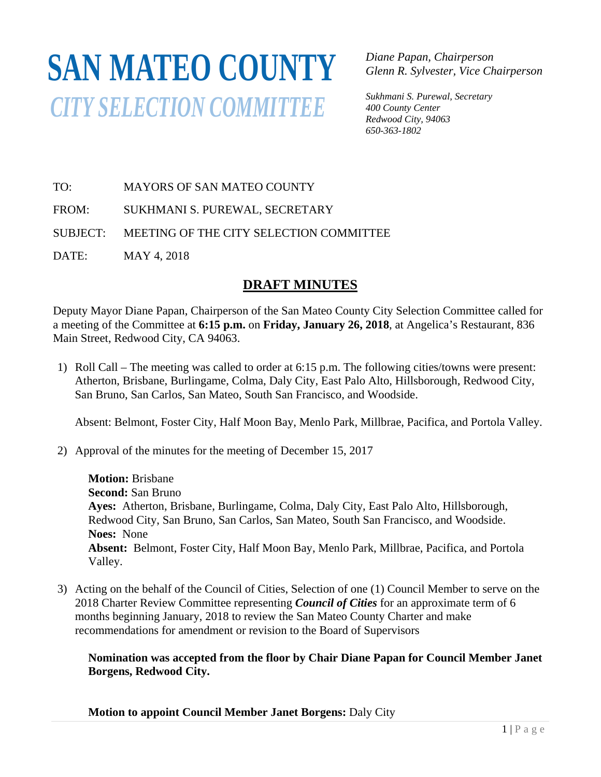# **SAN MATEO COUNTY** *CITY SELECTION COMMITTEE*

*Diane Papan, Chairperson Glenn R. Sylvester, Vice Chairperson* 

*Sukhmani S. Purewal, Secretary 400 County Center Redwood City, 94063 650-363-1802*

TO: MAYORS OF SAN MATEO COUNTY

FROM: SUKHMANI S. PUREWAL, SECRETARY

SUBJECT: MEETING OF THE CITY SELECTION COMMITTEE

DATE: MAY 4, 2018

## **DRAFT MINUTES**

Deputy Mayor Diane Papan, Chairperson of the San Mateo County City Selection Committee called for a meeting of the Committee at **6:15 p.m.** on **Friday, January 26, 2018**, at Angelica's Restaurant, 836 Main Street, Redwood City, CA 94063.

1) Roll Call – The meeting was called to order at 6:15 p.m. The following cities/towns were present: Atherton, Brisbane, Burlingame, Colma, Daly City, East Palo Alto, Hillsborough, Redwood City, San Bruno, San Carlos, San Mateo, South San Francisco, and Woodside.

Absent: Belmont, Foster City, Half Moon Bay, Menlo Park, Millbrae, Pacifica, and Portola Valley.

2) Approval of the minutes for the meeting of December 15, 2017

**Motion:** Brisbane **Second:** San Bruno **Ayes:** Atherton, Brisbane, Burlingame, Colma, Daly City, East Palo Alto, Hillsborough, Redwood City, San Bruno, San Carlos, San Mateo, South San Francisco, and Woodside. **Noes:** None **Absent:** Belmont, Foster City, Half Moon Bay, Menlo Park, Millbrae, Pacifica, and Portola Valley.

3) Acting on the behalf of the Council of Cities, Selection of one (1) Council Member to serve on the 2018 Charter Review Committee representing *Council of Cities* for an approximate term of 6 months beginning January, 2018 to review the San Mateo County Charter and make recommendations for amendment or revision to the Board of Supervisors

## **Nomination was accepted from the floor by Chair Diane Papan for Council Member Janet Borgens, Redwood City.**

**Motion to appoint Council Member Janet Borgens:** Daly City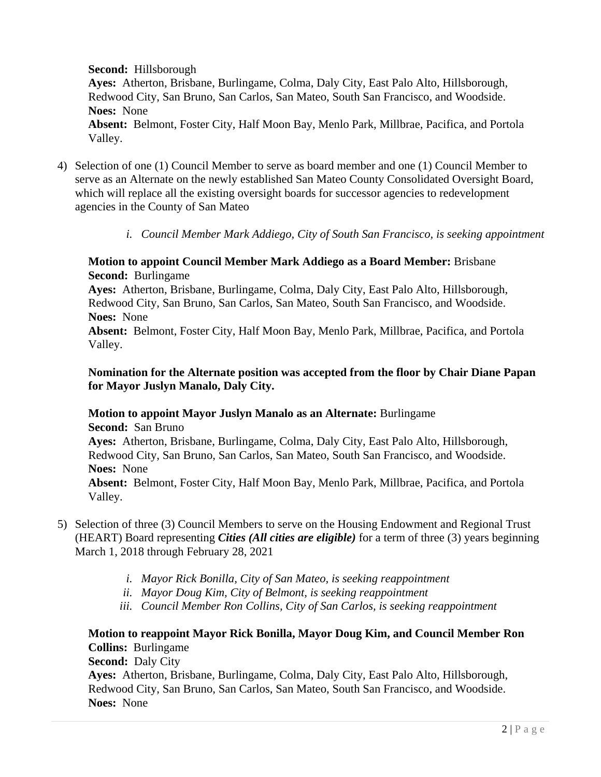**Second:** Hillsborough

**Ayes:** Atherton, Brisbane, Burlingame, Colma, Daly City, East Palo Alto, Hillsborough, Redwood City, San Bruno, San Carlos, San Mateo, South San Francisco, and Woodside. **Noes:** None

**Absent:** Belmont, Foster City, Half Moon Bay, Menlo Park, Millbrae, Pacifica, and Portola Valley.

- 4) Selection of one (1) Council Member to serve as board member and one (1) Council Member to serve as an Alternate on the newly established San Mateo County Consolidated Oversight Board, which will replace all the existing oversight boards for successor agencies to redevelopment agencies in the County of San Mateo
	- *i. Council Member Mark Addiego, City of South San Francisco, is seeking appointment*

#### **Motion to appoint Council Member Mark Addiego as a Board Member:** Brisbane **Second:** Burlingame

**Ayes:** Atherton, Brisbane, Burlingame, Colma, Daly City, East Palo Alto, Hillsborough, Redwood City, San Bruno, San Carlos, San Mateo, South San Francisco, and Woodside. **Noes:** None

**Absent:** Belmont, Foster City, Half Moon Bay, Menlo Park, Millbrae, Pacifica, and Portola Valley.

### **Nomination for the Alternate position was accepted from the floor by Chair Diane Papan for Mayor Juslyn Manalo, Daly City.**

## **Motion to appoint Mayor Juslyn Manalo as an Alternate:** Burlingame **Second:** San Bruno **Ayes:** Atherton, Brisbane, Burlingame, Colma, Daly City, East Palo Alto, Hillsborough, Redwood City, San Bruno, San Carlos, San Mateo, South San Francisco, and Woodside. **Noes:** None

**Absent:** Belmont, Foster City, Half Moon Bay, Menlo Park, Millbrae, Pacifica, and Portola Valley.

- 5) Selection of three (3) Council Members to serve on the Housing Endowment and Regional Trust (HEART) Board representing *Cities (All cities are eligible)* for a term of three (3) years beginning March 1, 2018 through February 28, 2021
	- *i. Mayor Rick Bonilla, City of San Mateo, is seeking reappointment*
	- *ii. Mayor Doug Kim, City of Belmont, is seeking reappointment*
	- *iii. Council Member Ron Collins, City of San Carlos, is seeking reappointment*

## **Motion to reappoint Mayor Rick Bonilla, Mayor Doug Kim, and Council Member Ron Collins:** Burlingame

**Second:** Daly City

**Ayes:** Atherton, Brisbane, Burlingame, Colma, Daly City, East Palo Alto, Hillsborough, Redwood City, San Bruno, San Carlos, San Mateo, South San Francisco, and Woodside. **Noes:** None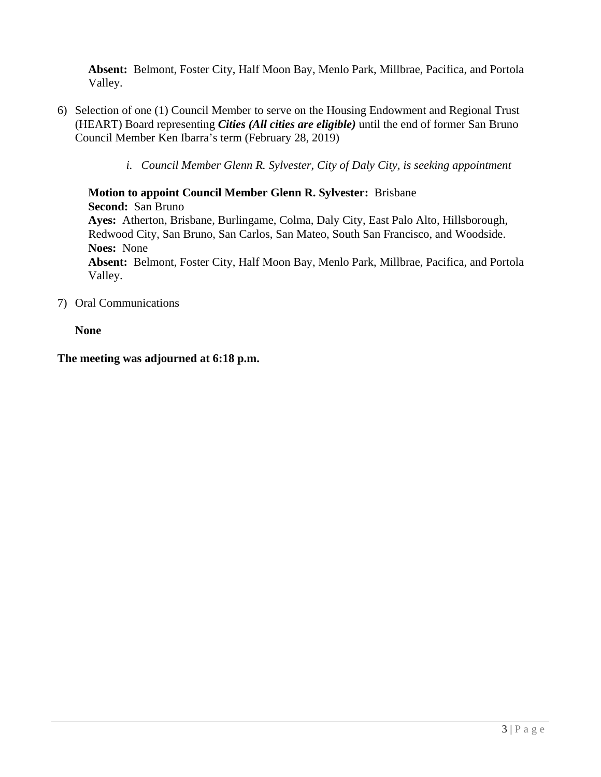**Absent:** Belmont, Foster City, Half Moon Bay, Menlo Park, Millbrae, Pacifica, and Portola Valley.

- 6) Selection of one (1) Council Member to serve on the Housing Endowment and Regional Trust (HEART) Board representing *Cities (All cities are eligible)* until the end of former San Bruno Council Member Ken Ibarra's term (February 28, 2019)
	- *i. Council Member Glenn R. Sylvester, City of Daly City, is seeking appointment*

**Motion to appoint Council Member Glenn R. Sylvester:** Brisbane **Second:** San Bruno **Ayes:** Atherton, Brisbane, Burlingame, Colma, Daly City, East Palo Alto, Hillsborough, Redwood City, San Bruno, San Carlos, San Mateo, South San Francisco, and Woodside. **Noes:** None **Absent:** Belmont, Foster City, Half Moon Bay, Menlo Park, Millbrae, Pacifica, and Portola Valley.

7) Oral Communications

#### **None**

#### **The meeting was adjourned at 6:18 p.m.**